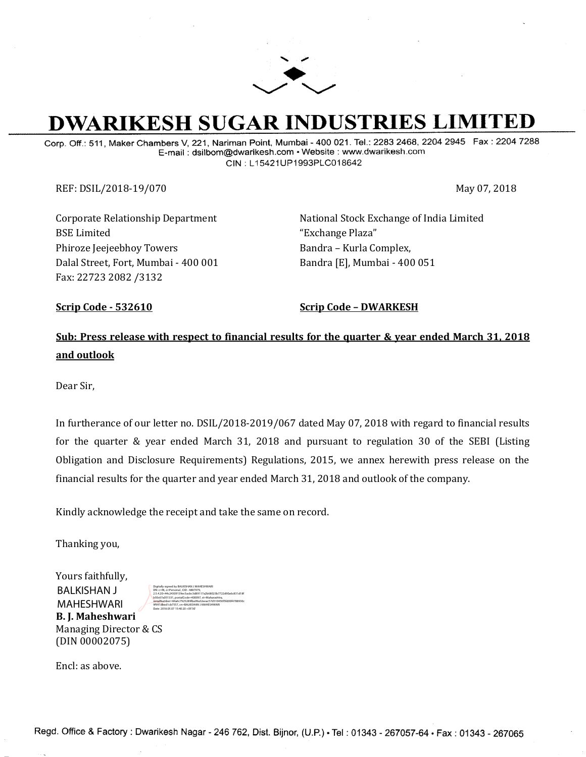

# **DWARIKESH SUGAR INDUSTRIES LIMITED**

Corp. Off.: 511, Maker Chambers V, 221, Nariman Point, Mumbai - 400 021. Tel.: 2283 2468, 2204 2945 Fax : 2204 7288 E-mail: dsilbom@dwarikesh.com · Website : www.dwarikesh.com CIN: L15421UP1993PLC018642

REF: DSIL/2018-19/070 May 07, 2018

Corporate Relationship Department BSE Limited Phiroze Jeejeebhoy Towers Dalal Street, Fort, Mumbai - 400 001 Fax: 22723 2082 /3132

National Stock Exchange of India Limited "Exchange Plaza" Bandra – Kurla Complex, Bandra [E], Mumbai - 400 051

**Scrip Code - 532610 Scrip Code – DWARKESH**

# **Sub: Press release with respect to financial results for the quarter & year ended March 31, 2018 and outlook**

Dear Sir,

In furtherance of our letter no. DSIL/2018-2019/067 dated May 07, 2018 with regard to financial results for the quarter & year ended March 31, 2018 and pursuant to regulation 30 of the SEBI (Listing Obligation and Disclosure Requirements) Regulations, 2015, we annex herewith press release on the financial results for the quarter and year ended March 31, 2018 and outlook of the company.

Kindly acknowledge the receipt and take the same on record.

Thanking you,

Yours faithfully, **B. J. Maheshwari**  Managing Director & CS (DIN 00002075) BALKISHAN J MAHESHWARI

Digitally signed by BALKISHAN J MAHESHWARI DN: c=IN, o=Personal , CID - 4887979, 2.5.4.20=44c24309139ec5acbc3d89117a2b68023b7722d90a6c831d18f b50c67a051331, postalCode=400097, st=Maharashtra, serialNumber=84a6c7925289fba99a32eeac57d510456f5fd00f4788930c 9f991dbed1cb7557, cn=BALKISHAN J MAHESHWARI Date: 2018.05.07 15:40:20 +05'30'

Encl: as above.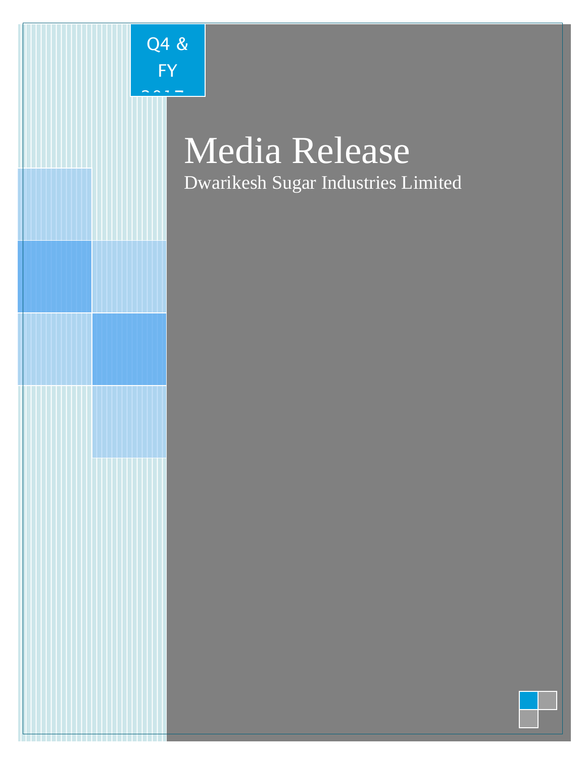

Q4 &

FY

2017-1<br>NHT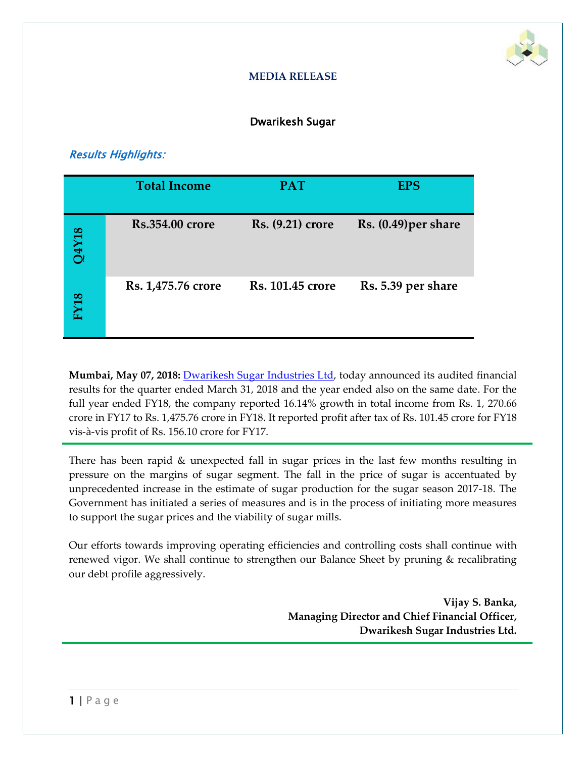

### **MEDIA RELEASE**

### Dwarikesh Sugar

# Results Highlights:

|              | <b>Total Income</b>    | <b>PAT</b>              | <b>EPS</b>           |
|--------------|------------------------|-------------------------|----------------------|
| <b>8LXFC</b> | <b>Rs.354.00 crore</b> | Rs. (9.21) crore        | Rs. (0.49) per share |
| <b>FY18</b>  | Rs. 1,475.76 crore     | <b>Rs. 101.45 crore</b> | Rs. 5.39 per share   |

**Mumbai, May 07, 2018:** [Dwarikesh Sugar Industries Ltd,](http://www.dwarikesh.com/) today announced its audited financial results for the quarter ended March 31, 2018 and the year ended also on the same date. For the full year ended FY18, the company reported 16.14% growth in total income from Rs. 1, 270.66 crore in FY17 to Rs. 1,475.76 crore in FY18. It reported profit after tax of Rs. 101.45 crore for FY18 vis-à-vis profit of Rs. 156.10 crore for FY17.

There has been rapid & unexpected fall in sugar prices in the last few months resulting in pressure on the margins of sugar segment. The fall in the price of sugar is accentuated by unprecedented increase in the estimate of sugar production for the sugar season 2017-18. The Government has initiated a series of measures and is in the process of initiating more measures to support the sugar prices and the viability of sugar mills.

Our efforts towards improving operating efficiencies and controlling costs shall continue with renewed vigor. We shall continue to strengthen our Balance Sheet by pruning & recalibrating our debt profile aggressively.

> **Vijay S. Banka, Managing Director and Chief Financial Officer, Dwarikesh Sugar Industries Ltd.**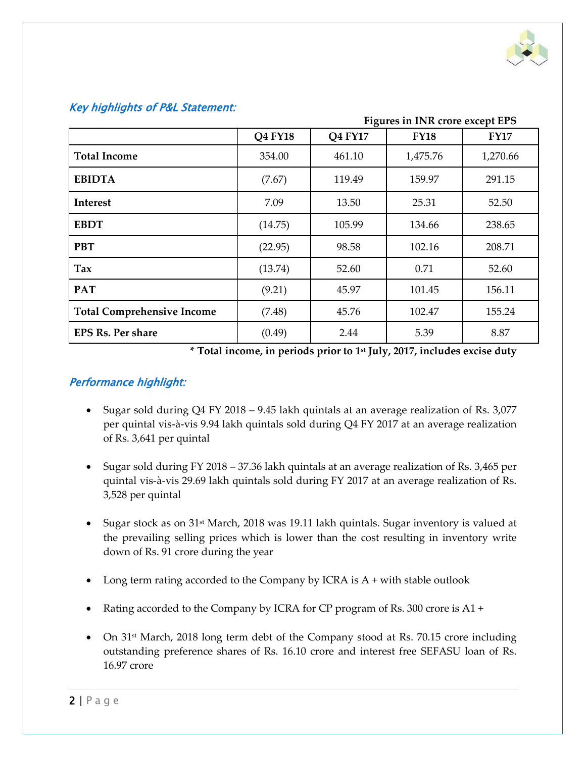

|                                   |         |         | <b>Figures in INR crore except EPS</b> |             |
|-----------------------------------|---------|---------|----------------------------------------|-------------|
|                                   | Q4 FY18 | Q4 FY17 | <b>FY18</b>                            | <b>FY17</b> |
| <b>Total Income</b>               | 354.00  | 461.10  | 1,475.76                               | 1,270.66    |
| <b>EBIDTA</b>                     | (7.67)  | 119.49  | 159.97                                 | 291.15      |
| <b>Interest</b>                   | 7.09    | 13.50   | 25.31                                  | 52.50       |
| <b>EBDT</b>                       | (14.75) | 105.99  | 134.66                                 | 238.65      |
| <b>PBT</b>                        | (22.95) | 98.58   | 102.16                                 | 208.71      |
| Tax                               | (13.74) | 52.60   | 0.71                                   | 52.60       |
| <b>PAT</b>                        | (9.21)  | 45.97   | 101.45                                 | 156.11      |
| <b>Total Comprehensive Income</b> | (7.48)  | 45.76   | 102.47                                 | 155.24      |
| <b>EPS Rs. Per share</b>          | (0.49)  | 2.44    | 5.39                                   | 8.87        |

#### Key highlights of P&L Statement:

**\* Total income, in periods prior to 1st July, 2017, includes excise duty** 

## Performance highlight:

- Sugar sold during Q4 FY 2018 9.45 lakh quintals at an average realization of Rs. 3,077 per quintal vis-à-vis 9.94 lakh quintals sold during Q4 FY 2017 at an average realization of Rs. 3,641 per quintal
- Sugar sold during FY 2018 37.36 lakh quintals at an average realization of Rs. 3,465 per quintal vis-à-vis 29.69 lakh quintals sold during FY 2017 at an average realization of Rs. 3,528 per quintal
- Sugar stock as on 31<sup>st</sup> March, 2018 was 19.11 lakh quintals. Sugar inventory is valued at the prevailing selling prices which is lower than the cost resulting in inventory write down of Rs. 91 crore during the year
- Long term rating accorded to the Company by ICRA is  $A +$  with stable outlook
- Rating accorded to the Company by ICRA for CP program of Rs. 300 crore is A1 +
- On 31<sup>st</sup> March, 2018 long term debt of the Company stood at Rs. 70.15 crore including outstanding preference shares of Rs. 16.10 crore and interest free SEFASU loan of Rs. 16.97 crore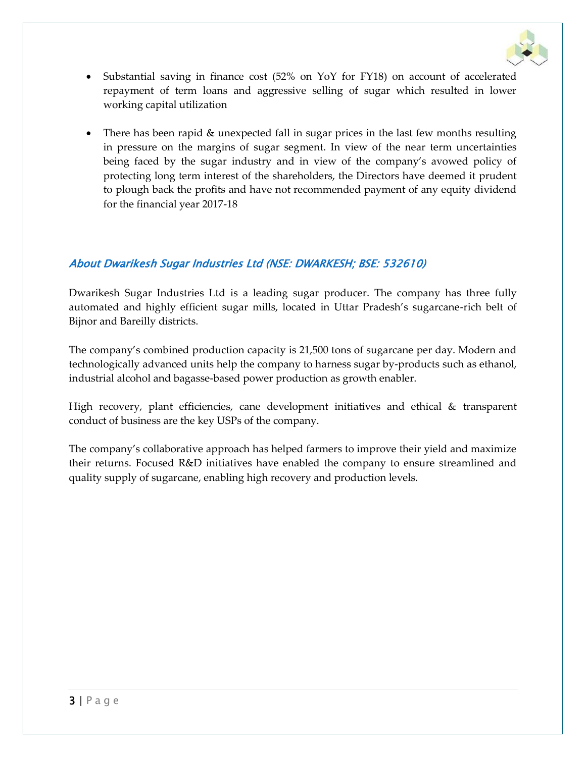

- Substantial saving in finance cost (52% on YoY for FY18) on account of accelerated repayment of term loans and aggressive selling of sugar which resulted in lower working capital utilization
- There has been rapid & unexpected fall in sugar prices in the last few months resulting in pressure on the margins of sugar segment. In view of the near term uncertainties being faced by the sugar industry and in view of the company's avowed policy of protecting long term interest of the shareholders, the Directors have deemed it prudent to plough back the profits and have not recommended payment of any equity dividend for the financial year 2017-18

## About Dwarikesh Sugar Industries Ltd (NSE: DWARKESH; BSE: 532610)

[Dwarikesh Sugar Industries Ltd](http://www.dwarikesh.com/) is a leading sugar producer. The company has three fully automated and highly efficient sugar mills, located in Uttar Pradesh's sugarcane-rich belt of Bijnor and Bareilly districts.

The company's combined production capacity is 21,500 tons of sugarcane per day. Modern and technologically advanced units help the company to harness sugar by-products such as ethanol, industrial alcohol and bagasse-based power production as growth enabler.

High recovery, plant efficiencies, cane development initiatives and ethical & transparent conduct of business are the key USPs of the company.

The company's collaborative approach has helped farmers to improve their yield and maximize their returns. Focused R&D initiatives have enabled the company to ensure streamlined and quality supply of sugarcane, enabling high recovery and production levels.